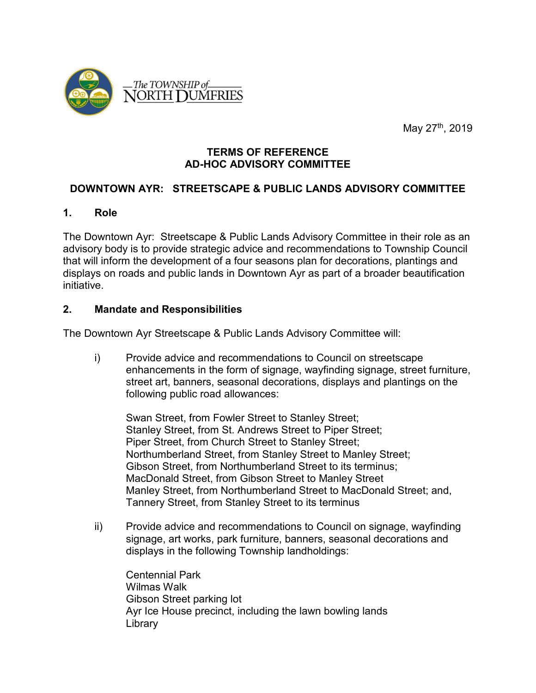

May 27<sup>th</sup>, 2019

#### **TERMS OF REFERENCE AD-HOC ADVISORY COMMITTEE**

#### **DOWNTOWN AYR: STREETSCAPE & PUBLIC LANDS ADVISORY COMMITTEE**

#### **1. Role**

The Downtown Ayr: Streetscape & Public Lands Advisory Committee in their role as an advisory body is to provide strategic advice and recommendations to Township Council that will inform the development of a four seasons plan for decorations, plantings and displays on roads and public lands in Downtown Ayr as part of a broader beautification initiative.

#### **2. Mandate and Responsibilities**

The Downtown Ayr Streetscape & Public Lands Advisory Committee will:

i) Provide advice and recommendations to Council on streetscape enhancements in the form of signage, wayfinding signage, street furniture, street art, banners, seasonal decorations, displays and plantings on the following public road allowances:

Swan Street, from Fowler Street to Stanley Street; Stanley Street, from St. Andrews Street to Piper Street; Piper Street, from Church Street to Stanley Street; Northumberland Street, from Stanley Street to Manley Street; Gibson Street, from Northumberland Street to its terminus; MacDonald Street, from Gibson Street to Manley Street Manley Street, from Northumberland Street to MacDonald Street; and, Tannery Street, from Stanley Street to its terminus

ii) Provide advice and recommendations to Council on signage, wayfinding signage, art works, park furniture, banners, seasonal decorations and displays in the following Township landholdings:

Centennial Park Wilmas Walk Gibson Street parking lot Ayr Ice House precinct, including the lawn bowling lands Library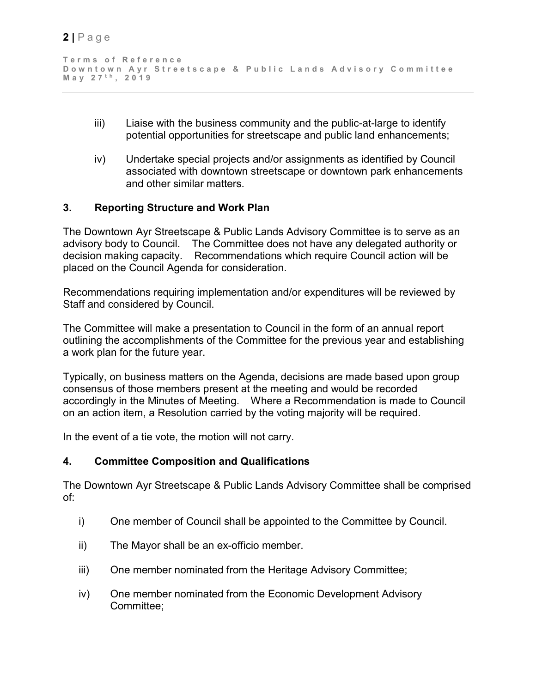```
Terms of Reference
Downtown Ayr Streetscape & Public Lands Advisory Committee
May 27 t h , 201 9
```
- iii) Liaise with the business community and the public-at-large to identify potential opportunities for streetscape and public land enhancements;
- iv) Undertake special projects and/or assignments as identified by Council associated with downtown streetscape or downtown park enhancements and other similar matters.

### **3. Reporting Structure and Work Plan**

The Downtown Ayr Streetscape & Public Lands Advisory Committee is to serve as an advisory body to Council. The Committee does not have any delegated authority or decision making capacity. Recommendations which require Council action will be placed on the Council Agenda for consideration.

Recommendations requiring implementation and/or expenditures will be reviewed by Staff and considered by Council.

The Committee will make a presentation to Council in the form of an annual report outlining the accomplishments of the Committee for the previous year and establishing a work plan for the future year.

Typically, on business matters on the Agenda, decisions are made based upon group consensus of those members present at the meeting and would be recorded accordingly in the Minutes of Meeting. Where a Recommendation is made to Council on an action item, a Resolution carried by the voting majority will be required.

In the event of a tie vote, the motion will not carry.

### **4. Committee Composition and Qualifications**

The Downtown Ayr Streetscape & Public Lands Advisory Committee shall be comprised of:

- i) One member of Council shall be appointed to the Committee by Council.
- ii) The Mayor shall be an ex-officio member.
- iii) One member nominated from the Heritage Advisory Committee;
- iv) One member nominated from the Economic Development Advisory Committee;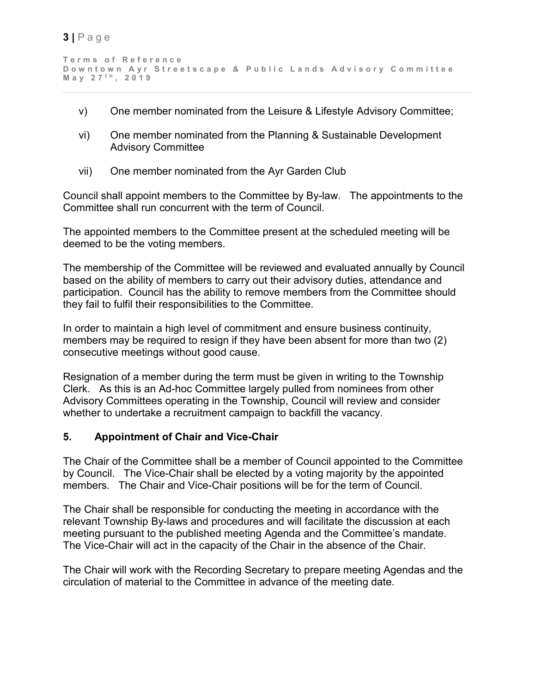```
Terms of Reference
Downtown Ayr Streetscape & Public Lands Advisory Committee
May 27 t h , 201 9
```
- v) One member nominated from the Leisure & Lifestyle Advisory Committee;
- vi) One member nominated from the Planning & Sustainable Development Advisory Committee
- vii) One member nominated from the Ayr Garden Club

Council shall appoint members to the Committee by By-law. The appointments to the Committee shall run concurrent with the term of Council.

The appointed members to the Committee present at the scheduled meeting will be deemed to be the voting members.

The membership of the Committee will be reviewed and evaluated annually by Council based on the ability of members to carry out their advisory duties, attendance and participation. Council has the ability to remove members from the Committee should they fail to fulfil their responsibilities to the Committee.

In order to maintain a high level of commitment and ensure business continuity, members may be required to resign if they have been absent for more than two (2) consecutive meetings without good cause.

Resignation of a member during the term must be given in writing to the Township Clerk. As this is an Ad-hoc Committee largely pulled from nominees from other Advisory Committees operating in the Township, Council will review and consider whether to undertake a recruitment campaign to backfill the vacancy.

# **5. Appointment of Chair and Vice-Chair**

The Chair of the Committee shall be a member of Council appointed to the Committee by Council. The Vice-Chair shall be elected by a voting majority by the appointed members. The Chair and Vice-Chair positions will be for the term of Council.

The Chair shall be responsible for conducting the meeting in accordance with the relevant Township By-laws and procedures and will facilitate the discussion at each meeting pursuant to the published meeting Agenda and the Committee's mandate. The Vice-Chair will act in the capacity of the Chair in the absence of the Chair.

The Chair will work with the Recording Secretary to prepare meeting Agendas and the circulation of material to the Committee in advance of the meeting date.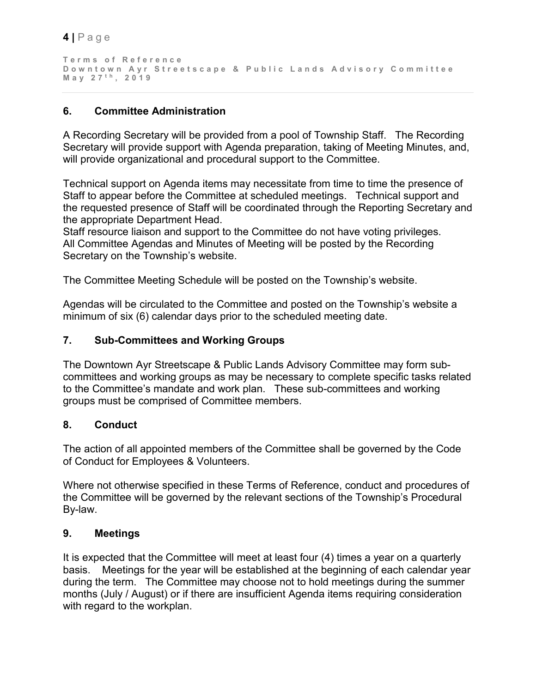```
Terms of Reference
Downtown Ayr Streetscape & Public Lands Advisory Committee
May 27 t h , 201 9
```
# **6. Committee Administration**

A Recording Secretary will be provided from a pool of Township Staff. The Recording Secretary will provide support with Agenda preparation, taking of Meeting Minutes, and, will provide organizational and procedural support to the Committee.

Technical support on Agenda items may necessitate from time to time the presence of Staff to appear before the Committee at scheduled meetings. Technical support and the requested presence of Staff will be coordinated through the Reporting Secretary and the appropriate Department Head.

Staff resource liaison and support to the Committee do not have voting privileges. All Committee Agendas and Minutes of Meeting will be posted by the Recording Secretary on the Township's website.

The Committee Meeting Schedule will be posted on the Township's website.

Agendas will be circulated to the Committee and posted on the Township's website a minimum of six (6) calendar days prior to the scheduled meeting date.

# **7. Sub-Committees and Working Groups**

The Downtown Ayr Streetscape & Public Lands Advisory Committee may form subcommittees and working groups as may be necessary to complete specific tasks related to the Committee's mandate and work plan. These sub-committees and working groups must be comprised of Committee members.

# **8. Conduct**

The action of all appointed members of the Committee shall be governed by the Code of Conduct for Employees & Volunteers.

Where not otherwise specified in these Terms of Reference, conduct and procedures of the Committee will be governed by the relevant sections of the Township's Procedural By-law.

# **9. Meetings**

It is expected that the Committee will meet at least four (4) times a year on a quarterly basis. Meetings for the year will be established at the beginning of each calendar year during the term. The Committee may choose not to hold meetings during the summer months (July / August) or if there are insufficient Agenda items requiring consideration with regard to the workplan.